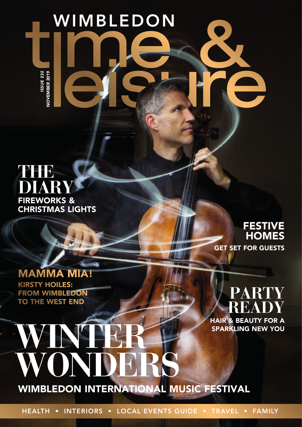ISSUE 232<br>NOVEMBER 2019 ISSUE 232 NOVEMBER 2019

WIMBLEDON

## **THE DIARY** FIREWORKS & CHRISTMAS LIGHTS

### FESTIVE **HOMES**

GET SET FOR GUESTS

#### MAMMA MIA! KIRSTY HOILES: FROM WIMBLEDON TO THE WEST END

**WONDERS** 

WH

# **PARTY READY** HAIR & BEAUTY FOR A

SPARKLING NEW YOU

WIMBLEDON INTERNATIONAL MUSIC FESTIVAL

HEALTH • INTERIORS • LOCAL EVENTS GUIDE • TRAVEL • FAMILY